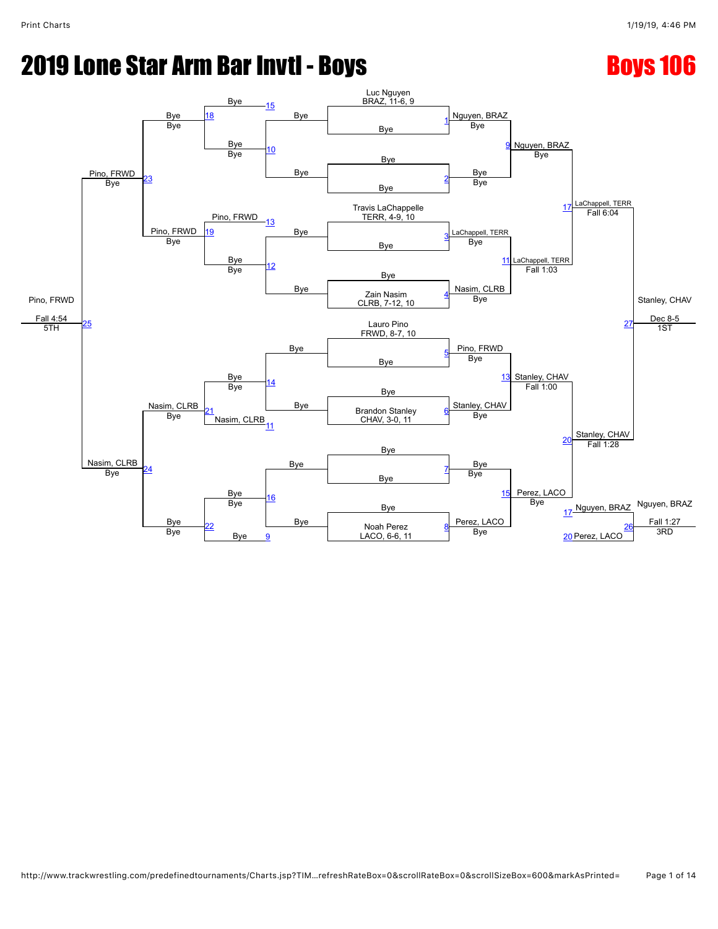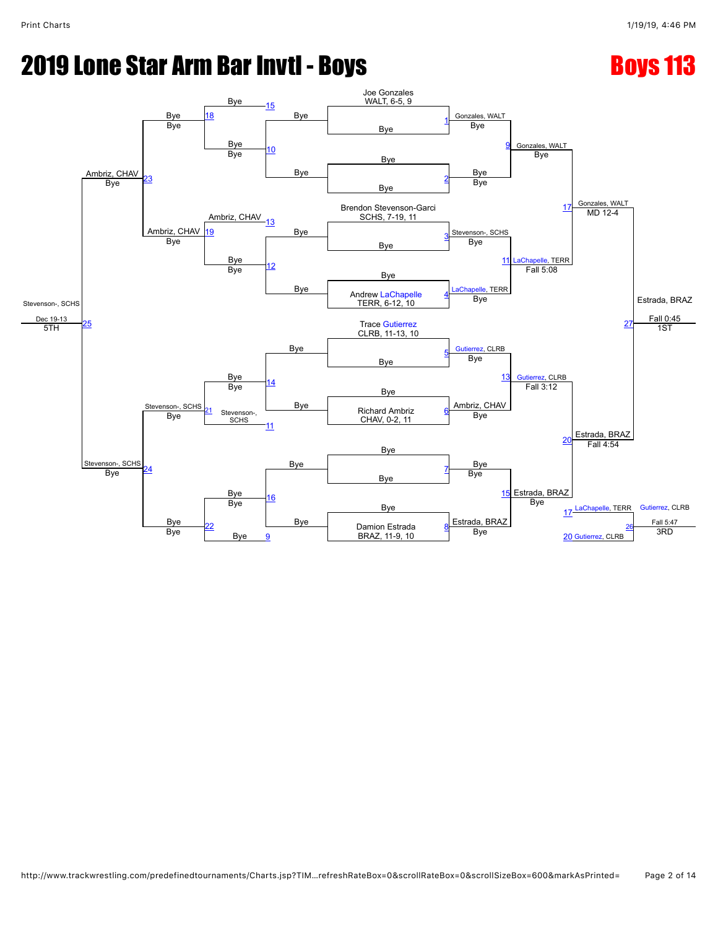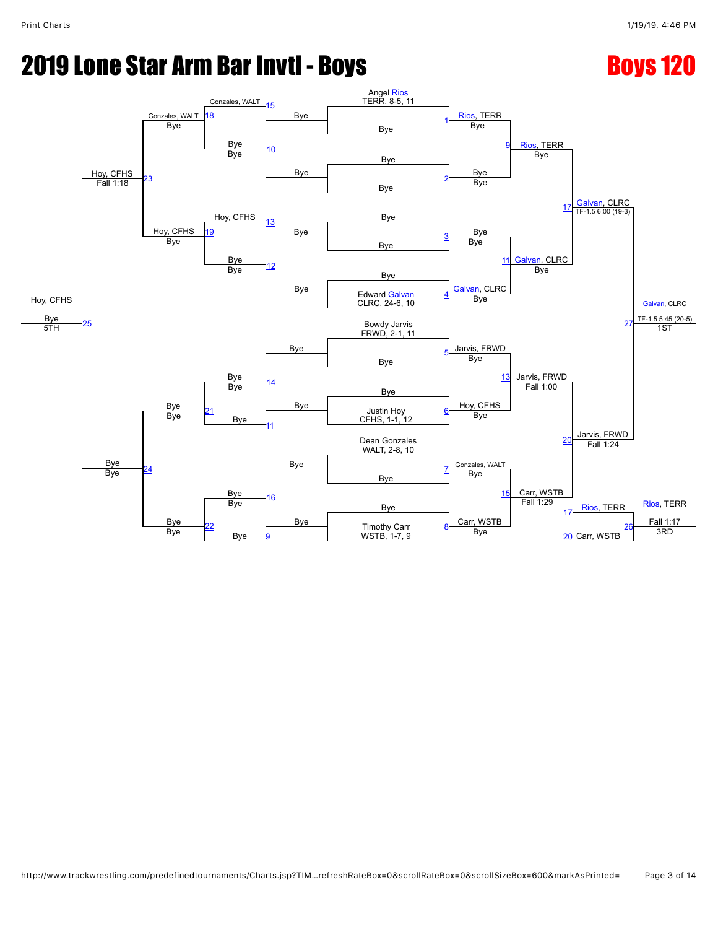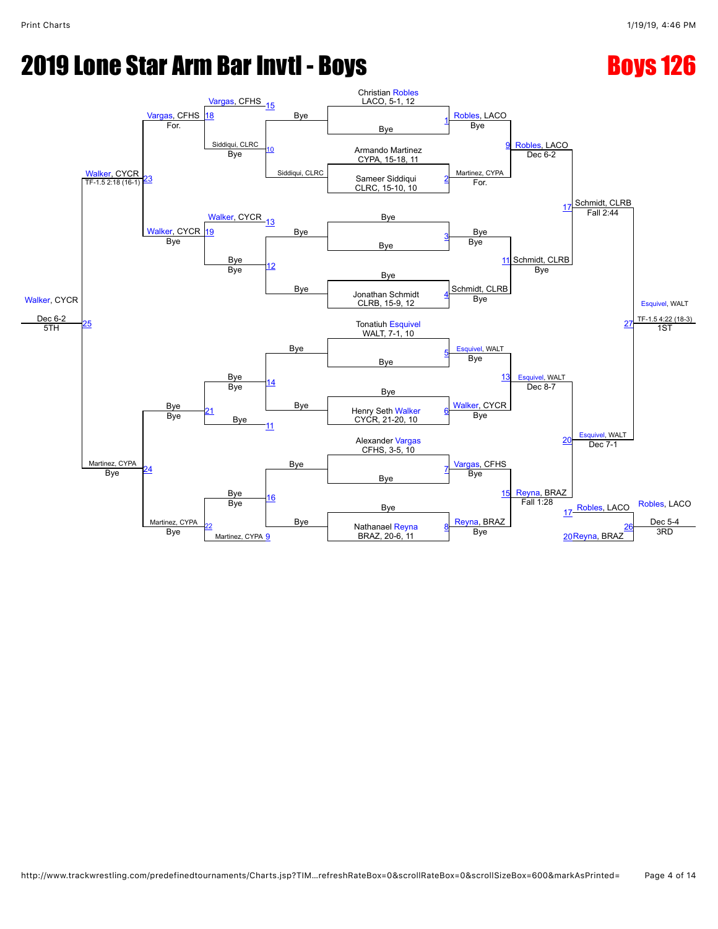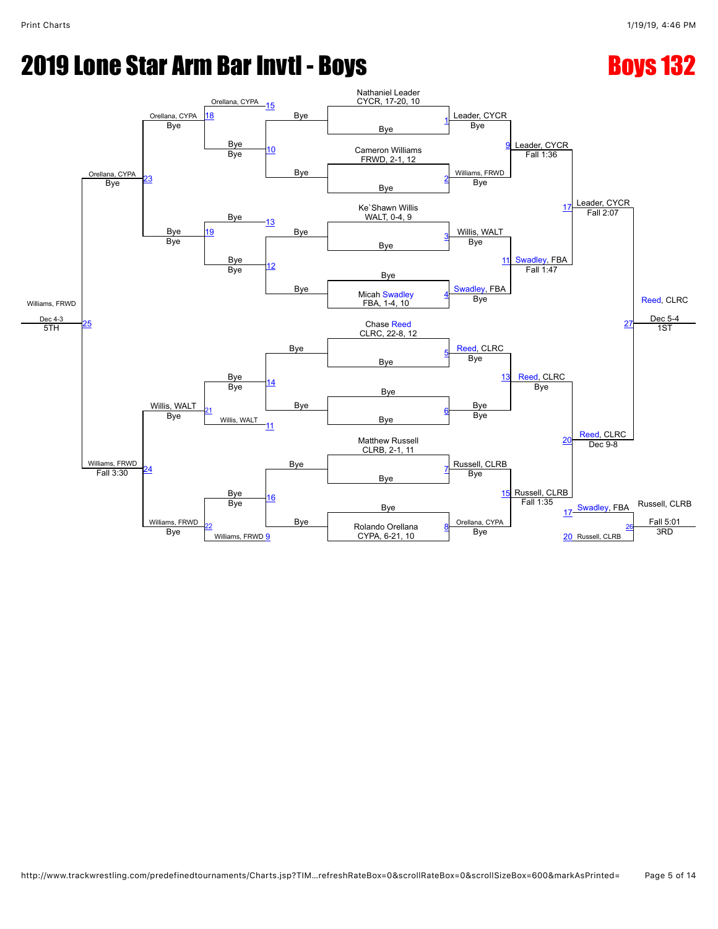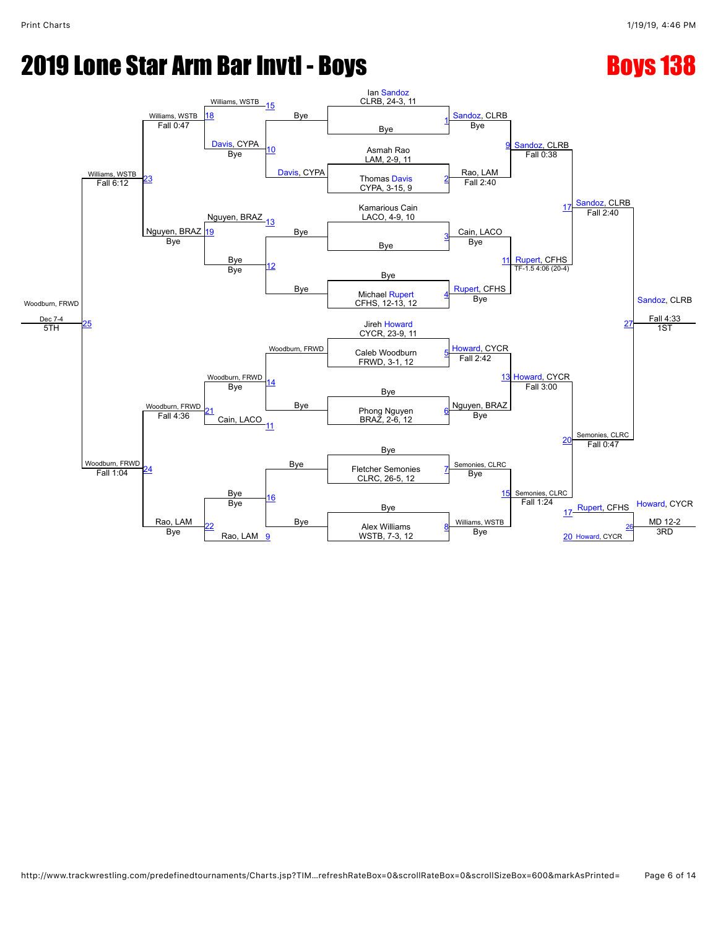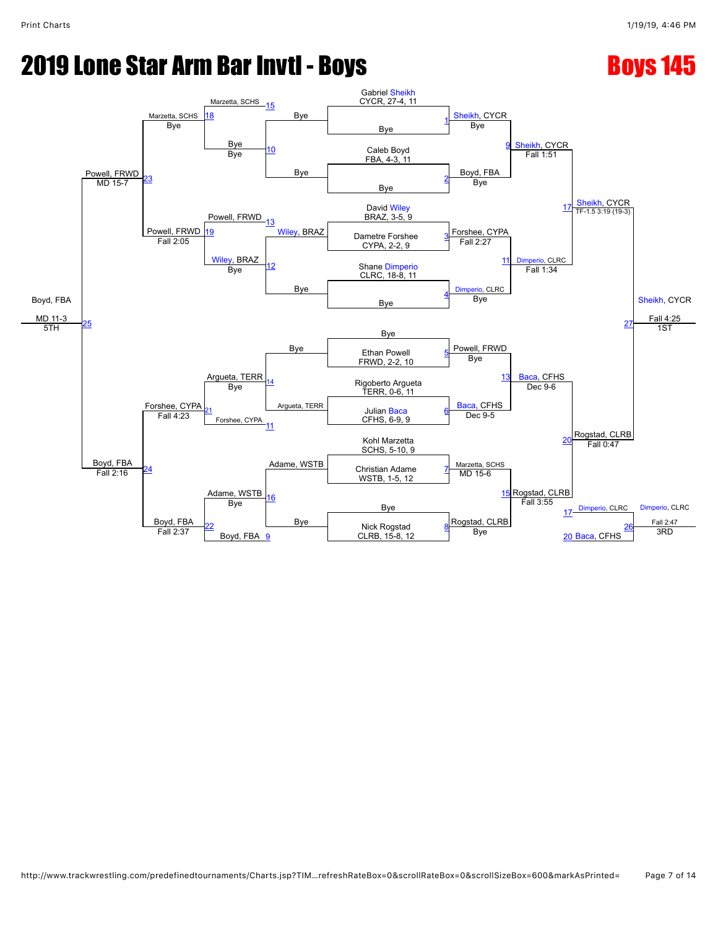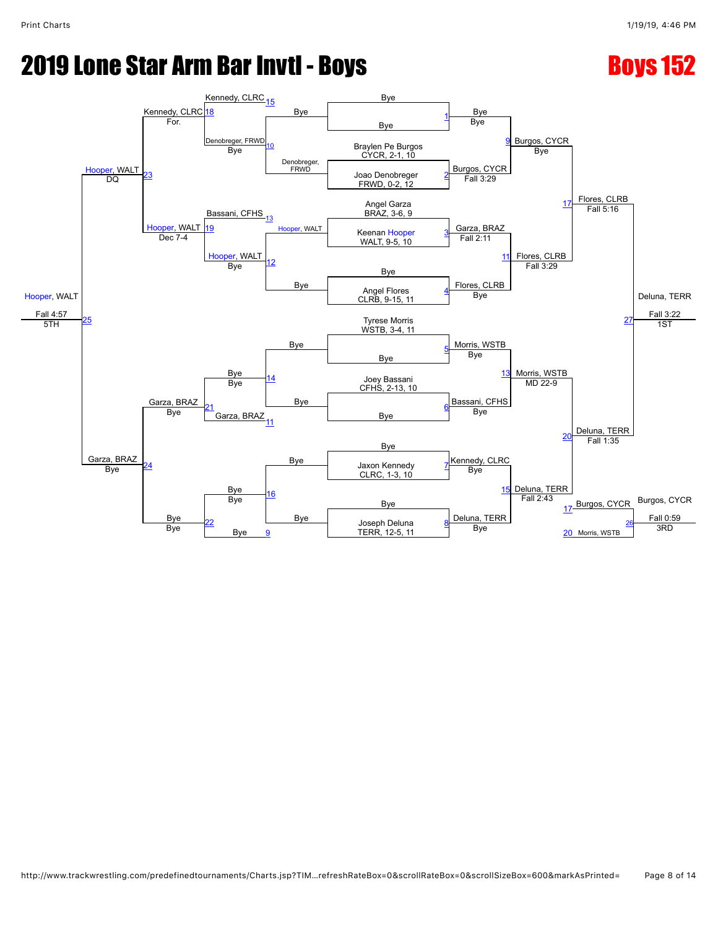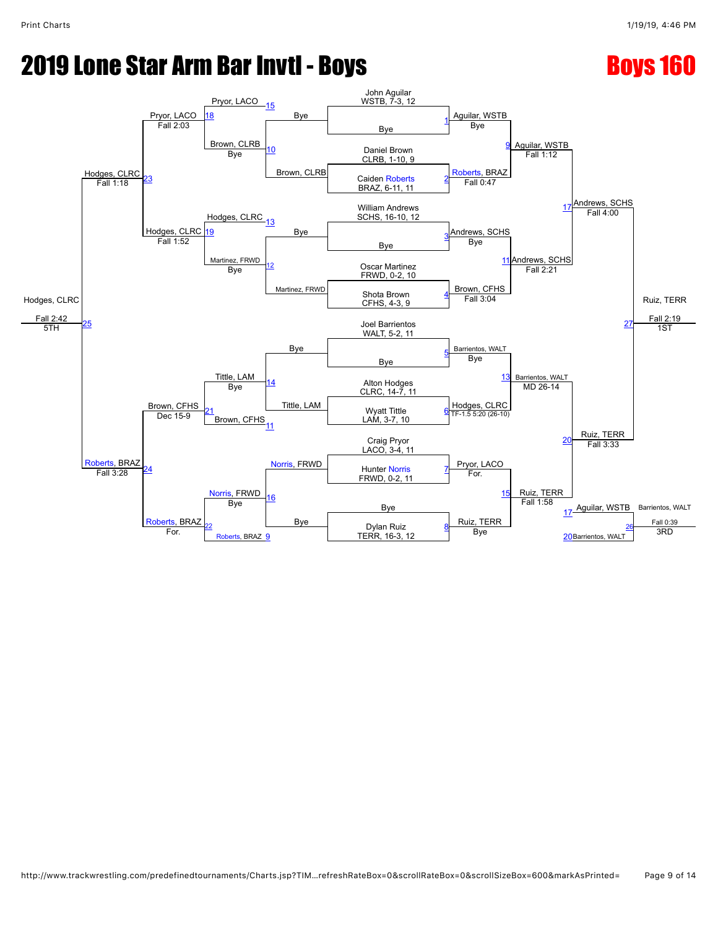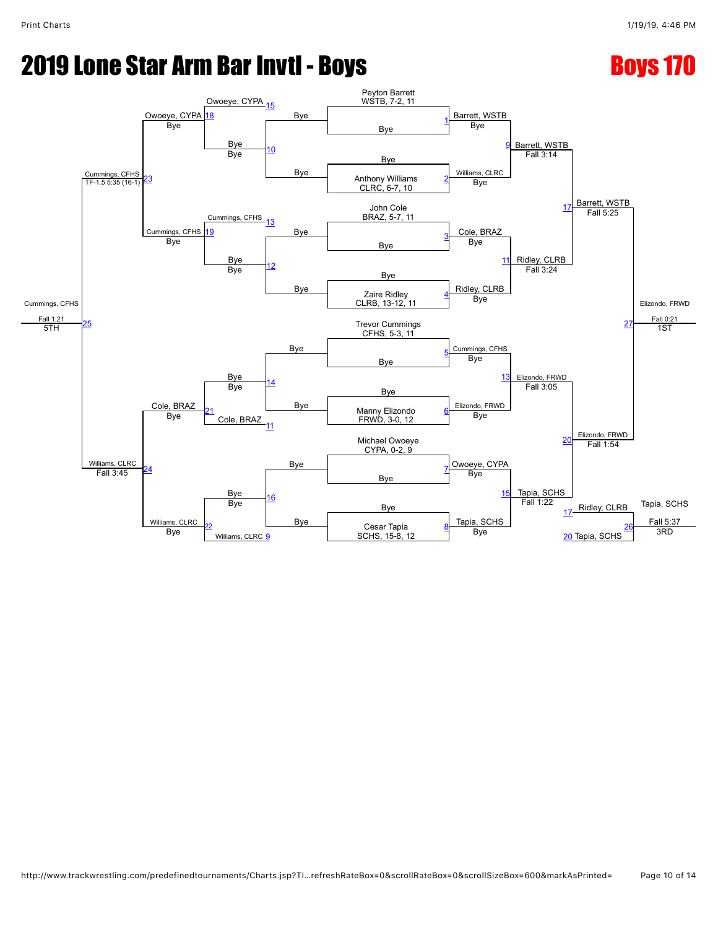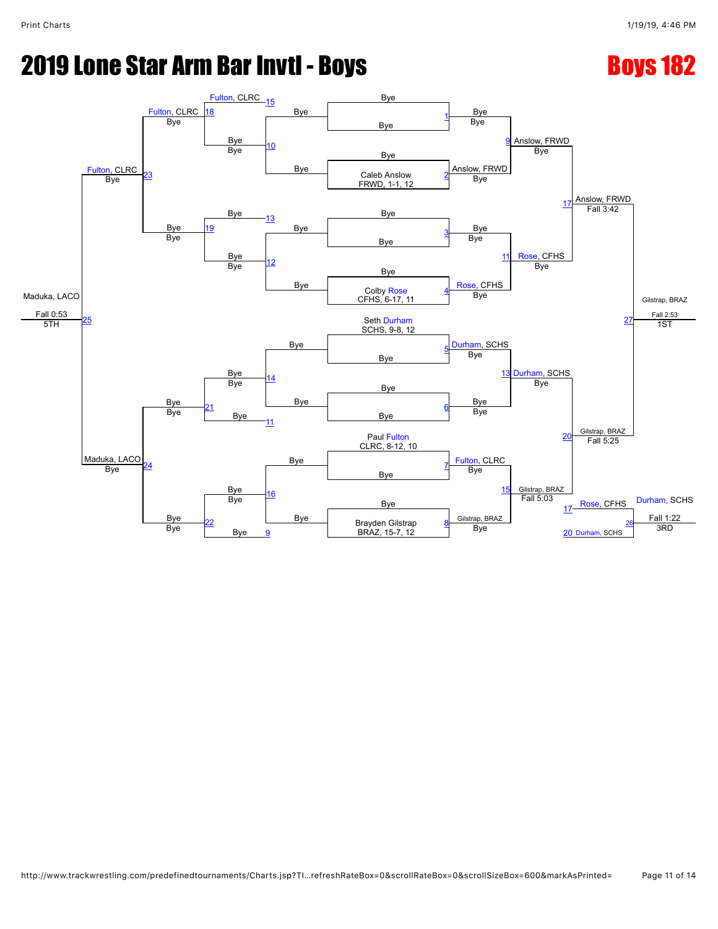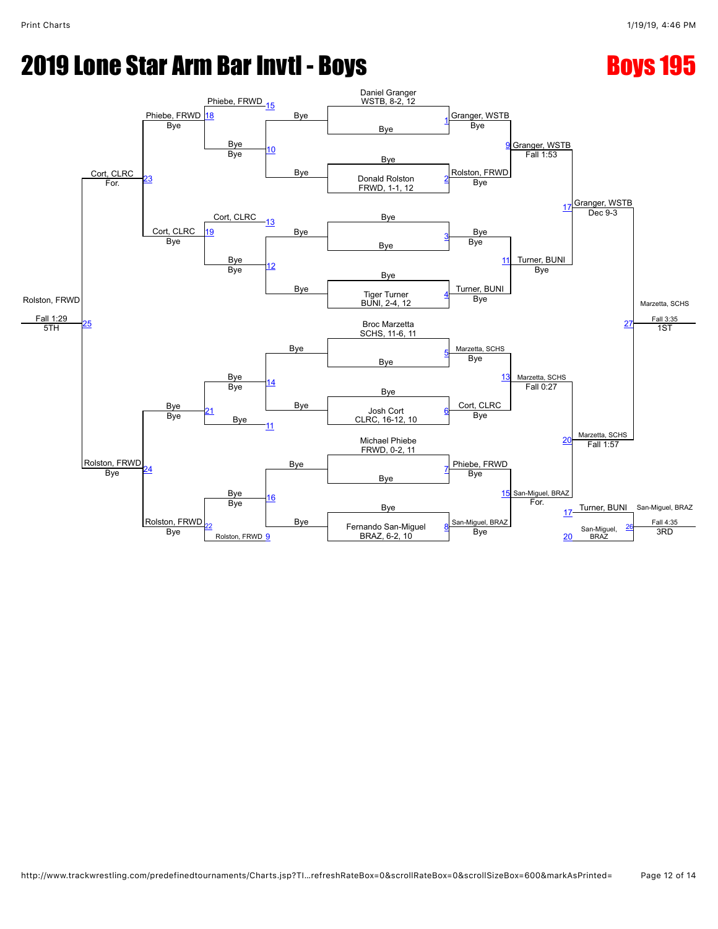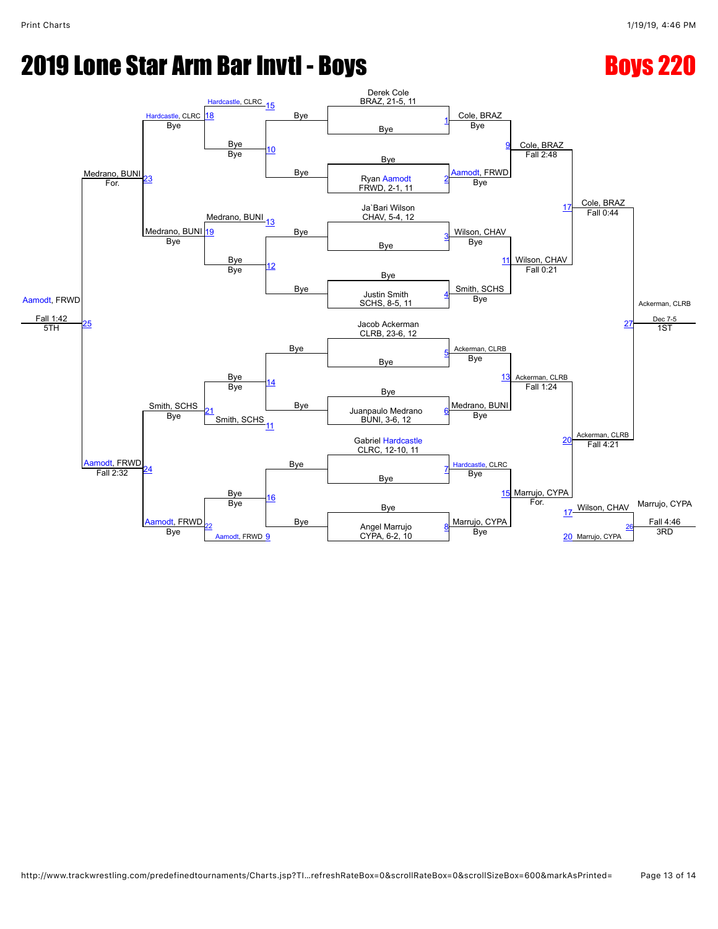